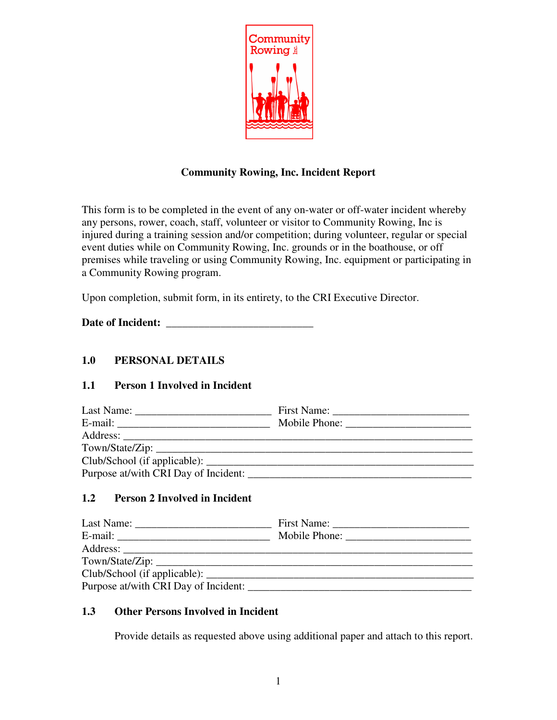

# **Community Rowing, Inc. Incident Report**

This form is to be completed in the event of any on-water or off-water incident whereby any persons, rower, coach, staff, volunteer or visitor to Community Rowing, Inc is injured during a training session and/or competition; during volunteer, regular or special event duties while on Community Rowing, Inc. grounds or in the boathouse, or off premises while traveling or using Community Rowing, Inc. equipment or participating in a Community Rowing program.

Upon completion, submit form, in its entirety, to the CRI Executive Director.

**Date of Incident:** \_\_\_\_\_\_\_\_\_\_\_\_\_\_\_\_\_\_\_\_\_\_\_\_\_\_\_

# **1.0 PERSONAL DETAILS**

### **1.1 Person 1 Involved in Incident**

### **1.2 Person 2 Involved in Incident**

| Purpose at/with CRI Day of Incident: |  |
|--------------------------------------|--|

### **1.3 Other Persons Involved in Incident**

Provide details as requested above using additional paper and attach to this report.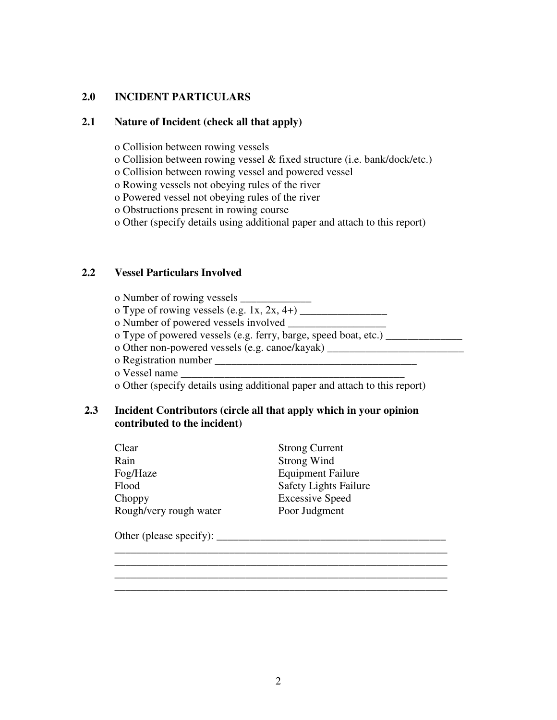### **2.0 INCIDENT PARTICULARS**

#### **2.1 Nature of Incident (check all that apply)**

- o Collision between rowing vessels
- o Collision between rowing vessel & fixed structure (i.e. bank/dock/etc.)
- o Collision between rowing vessel and powered vessel
- o Rowing vessels not obeying rules of the river
- o Powered vessel not obeying rules of the river
- o Obstructions present in rowing course
- o Other (specify details using additional paper and attach to this report)

#### **2.2 Vessel Particulars Involved**

| o Number of rowing vessels __________                              |  |
|--------------------------------------------------------------------|--|
| o Type of rowing vessels (e.g. 1x, 2x, 4+) $\frac{ }{ }$           |  |
| o Number of powered vessels involved                               |  |
| o Type of powered vessels (e.g. ferry, barge, speed boat, etc.) __ |  |
| o Other non-powered vessels (e.g. canoe/kayak) ______              |  |
| o Registration number                                              |  |
| o Vessel name                                                      |  |

o Other (specify details using additional paper and attach to this report)

#### **2.3 Incident Contributors (circle all that apply which in your opinion contributed to the incident)**

| <b>Strong Current</b>        |
|------------------------------|
| Strong Wind                  |
| <b>Equipment Failure</b>     |
| <b>Safety Lights Failure</b> |
| <b>Excessive Speed</b>       |
| Poor Judgment                |
|                              |

Other (please specify):  $\frac{1}{2}$  and  $\frac{1}{2}$  and  $\frac{1}{2}$  and  $\frac{1}{2}$  and  $\frac{1}{2}$  and  $\frac{1}{2}$  and  $\frac{1}{2}$  and  $\frac{1}{2}$  and  $\frac{1}{2}$  and  $\frac{1}{2}$  and  $\frac{1}{2}$  and  $\frac{1}{2}$  and  $\frac{1}{2}$  and  $\frac{1}{2}$  and

 $\mathcal{L}_\mathcal{L} = \mathcal{L}_\mathcal{L} = \mathcal{L}_\mathcal{L} = \mathcal{L}_\mathcal{L} = \mathcal{L}_\mathcal{L} = \mathcal{L}_\mathcal{L} = \mathcal{L}_\mathcal{L} = \mathcal{L}_\mathcal{L} = \mathcal{L}_\mathcal{L} = \mathcal{L}_\mathcal{L} = \mathcal{L}_\mathcal{L} = \mathcal{L}_\mathcal{L} = \mathcal{L}_\mathcal{L} = \mathcal{L}_\mathcal{L} = \mathcal{L}_\mathcal{L} = \mathcal{L}_\mathcal{L} = \mathcal{L}_\mathcal{L}$ 

\_\_\_\_\_\_\_\_\_\_\_\_\_\_\_\_\_\_\_\_\_\_\_\_\_\_\_\_\_\_\_\_\_\_\_\_\_\_\_\_\_\_\_\_\_\_\_\_\_\_\_\_\_\_\_\_\_\_\_\_\_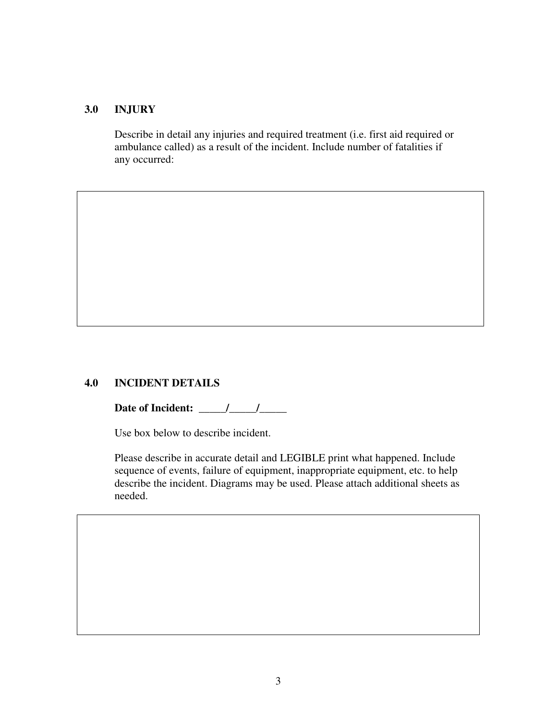#### **3.0 INJURY**

 Describe in detail any injuries and required treatment (i.e. first aid required or ambulance called) as a result of the incident. Include number of fatalities if any occurred:

#### **4.0 INCIDENT DETAILS**

**Date of Incident: \_\_\_\_\_/\_\_\_\_\_/\_\_\_\_\_** 

Use box below to describe incident.

Please describe in accurate detail and LEGIBLE print what happened. Include sequence of events, failure of equipment, inappropriate equipment, etc. to help describe the incident. Diagrams may be used. Please attach additional sheets as needed.